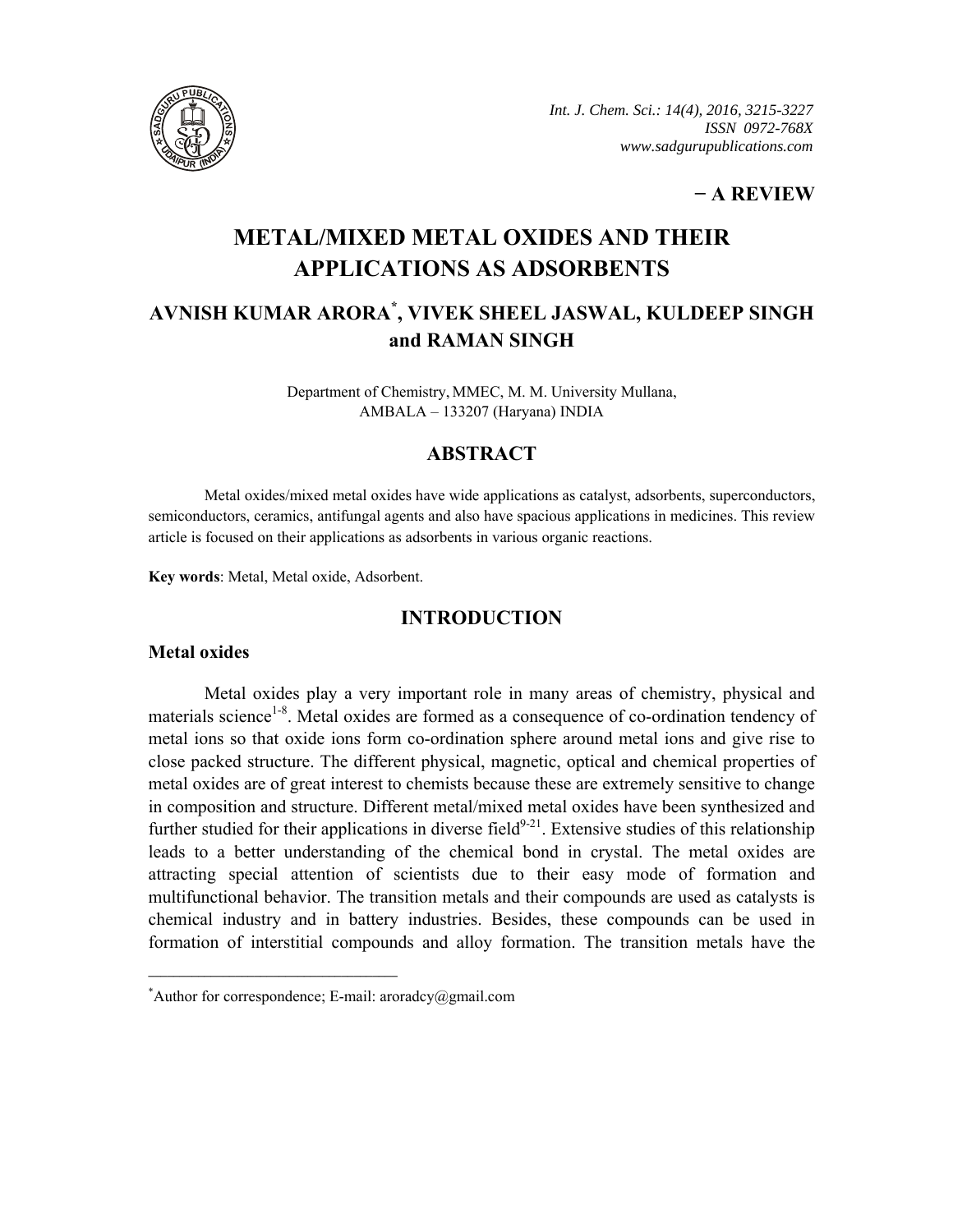

*Int. J. Chem. Sci.: 14(4), 2016, 3215-3227 ISSN 0972-768X www.sadgurupublications.com*

## **− A REVIEW**

# **METAL/MIXED METAL OXIDES AND THEIR APPLICATIONS AS ADSORBENTS**

# **AVNISH KUMAR ARORA\* , VIVEK SHEEL JASWAL, KULDEEP SINGH and RAMAN SINGH**

Department of Chemistry, MMEC, M. M. University Mullana, AMBALA – 133207 (Haryana) INDIA

### **ABSTRACT**

Metal oxides/mixed metal oxides have wide applications as catalyst, adsorbents, superconductors, semiconductors, ceramics, antifungal agents and also have spacious applications in medicines. This review article is focused on their applications as adsorbents in various organic reactions.

**Key words**: Metal, Metal oxide, Adsorbent.

### **INTRODUCTION**

#### **Metal oxides**

Metal oxides play a very important role in many areas of chemistry, physical and materials science<sup>1-8</sup>. Metal oxides are formed as a consequence of co-ordination tendency of metal ions so that oxide ions form co-ordination sphere around metal ions and give rise to close packed structure. The different physical, magnetic, optical and chemical properties of metal oxides are of great interest to chemists because these are extremely sensitive to change in composition and structure. Different metal/mixed metal oxides have been synthesized and further studied for their applications in diverse field $9-21$ . Extensive studies of this relationship leads to a better understanding of the chemical bond in crystal. The metal oxides are attracting special attention of scientists due to their easy mode of formation and multifunctional behavior. The transition metals and their compounds are used as catalysts is chemical industry and in battery industries. Besides, these compounds can be used in formation of interstitial compounds and alloy formation. The transition metals have the

**\_\_\_\_\_\_\_\_\_\_\_\_\_\_\_\_\_\_\_\_\_\_\_\_\_\_\_\_\_\_\_\_\_\_\_\_\_\_\_\_**

<sup>\*</sup> Author for correspondence; E-mail: aroradcy@gmail.com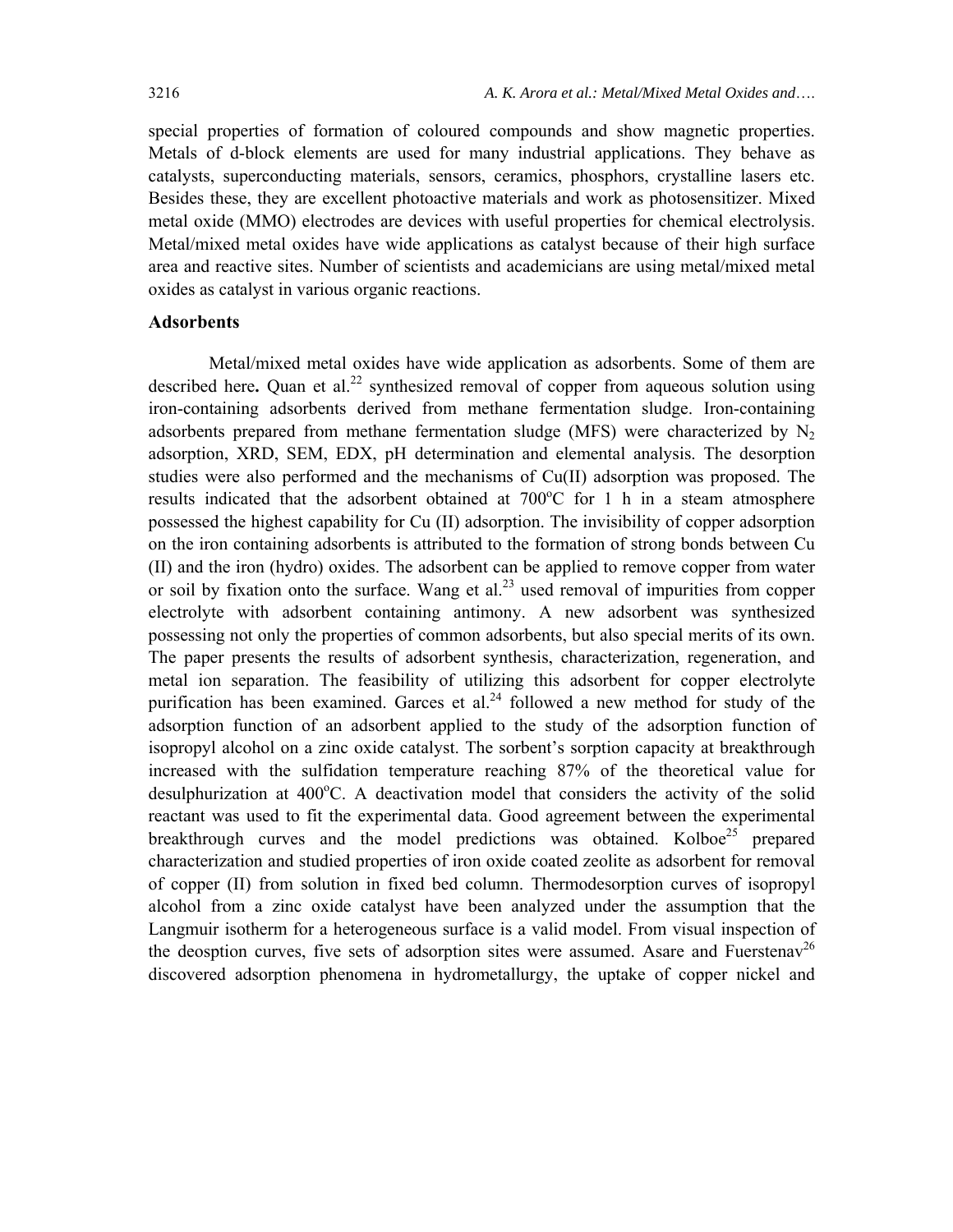special properties of formation of coloured compounds and show magnetic properties. Metals of d-block elements are used for many industrial applications. They behave as catalysts, superconducting materials, sensors, ceramics, phosphors, crystalline lasers etc. Besides these, they are excellent photoactive materials and work as photosensitizer. Mixed metal oxide (MMO) electrodes are devices with useful properties for chemical electrolysis. Metal/mixed metal oxides have wide applications as catalyst because of their high surface area and reactive sites. Number of scientists and academicians are using metal/mixed metal oxides as catalyst in various organic reactions.

#### **Adsorbents**

Metal/mixed metal oxides have wide application as adsorbents. Some of them are described here. Quan et al.<sup>22</sup> synthesized removal of copper from aqueous solution using iron-containing adsorbents derived from methane fermentation sludge. Iron-containing adsorbents prepared from methane fermentation sludge (MFS) were characterized by  $N_2$ adsorption, XRD, SEM, EDX, pH determination and elemental analysis. The desorption studies were also performed and the mechanisms of Cu(II) adsorption was proposed. The results indicated that the adsorbent obtained at  $700^{\circ}$ C for 1 h in a steam atmosphere possessed the highest capability for Cu (II) adsorption. The invisibility of copper adsorption on the iron containing adsorbents is attributed to the formation of strong bonds between Cu (II) and the iron (hydro) oxides. The adsorbent can be applied to remove copper from water or soil by fixation onto the surface. Wang et al.<sup>23</sup> used removal of impurities from copper electrolyte with adsorbent containing antimony. A new adsorbent was synthesized possessing not only the properties of common adsorbents, but also special merits of its own. The paper presents the results of adsorbent synthesis, characterization, regeneration, and metal ion separation. The feasibility of utilizing this adsorbent for copper electrolyte purification has been examined. Garces et al.<sup>24</sup> followed a new method for study of the adsorption function of an adsorbent applied to the study of the adsorption function of isopropyl alcohol on a zinc oxide catalyst. The sorbent's sorption capacity at breakthrough increased with the sulfidation temperature reaching 87% of the theoretical value for desulphurization at 400°C. A deactivation model that considers the activity of the solid reactant was used to fit the experimental data. Good agreement between the experimental breakthrough curves and the model predictions was obtained. Kolboe<sup>25</sup> prepared characterization and studied properties of iron oxide coated zeolite as adsorbent for removal of copper (II) from solution in fixed bed column. Thermodesorption curves of isopropyl alcohol from a zinc oxide catalyst have been analyzed under the assumption that the Langmuir isotherm for a heterogeneous surface is a valid model. From visual inspection of the deosption curves, five sets of adsorption sites were assumed. Asare and Fuerstenav<sup>26</sup> discovered adsorption phenomena in hydrometallurgy, the uptake of copper nickel and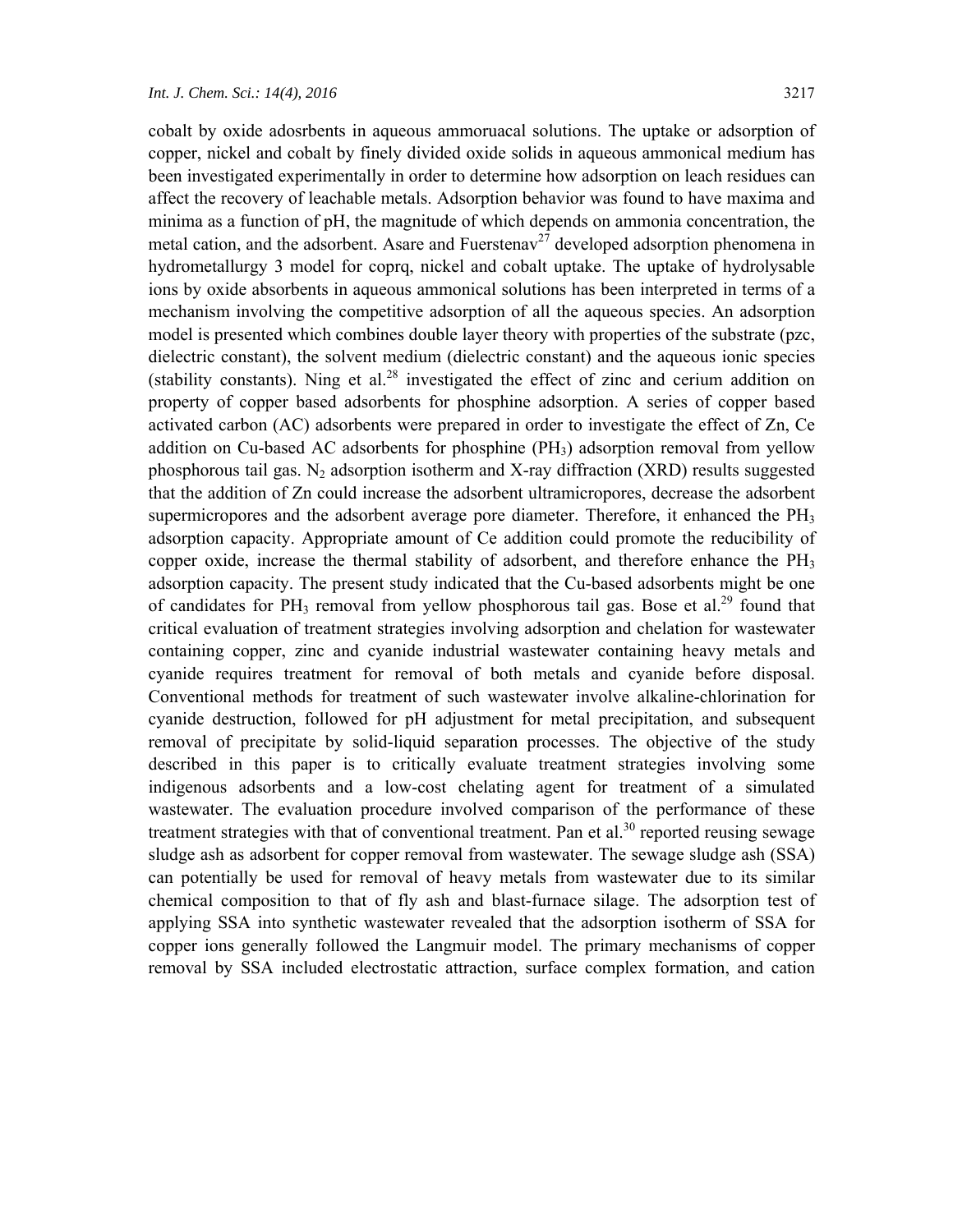cobalt by oxide adosrbents in aqueous ammoruacal solutions. The uptake or adsorption of copper, nickel and cobalt by finely divided oxide solids in aqueous ammonical medium has been investigated experimentally in order to determine how adsorption on leach residues can affect the recovery of leachable metals. Adsorption behavior was found to have maxima and minima as a function of pH, the magnitude of which depends on ammonia concentration, the metal cation, and the adsorbent. Asare and Fuerstenav<sup>27</sup> developed adsorption phenomena in hydrometallurgy 3 model for coprq, nickel and cobalt uptake. The uptake of hydrolysable ions by oxide absorbents in aqueous ammonical solutions has been interpreted in terms of a mechanism involving the competitive adsorption of all the aqueous species. An adsorption model is presented which combines double layer theory with properties of the substrate (pzc, dielectric constant), the solvent medium (dielectric constant) and the aqueous ionic species (stability constants). Ning et al. $^{28}$  investigated the effect of zinc and cerium addition on property of copper based adsorbents for phosphine adsorption. A series of copper based activated carbon (AC) adsorbents were prepared in order to investigate the effect of Zn, Ce addition on Cu-based AC adsorbents for phosphine  $(PH_3)$  adsorption removal from yellow phosphorous tail gas.  $N_2$  adsorption isotherm and X-ray diffraction (XRD) results suggested that the addition of Zn could increase the adsorbent ultramicropores, decrease the adsorbent supermicropores and the adsorbent average pore diameter. Therefore, it enhanced the  $PH_3$ adsorption capacity. Appropriate amount of Ce addition could promote the reducibility of copper oxide, increase the thermal stability of adsorbent, and therefore enhance the  $PH_3$ adsorption capacity. The present study indicated that the Cu-based adsorbents might be one of candidates for PH<sub>3</sub> removal from yellow phosphorous tail gas. Bose et al.<sup>29</sup> found that critical evaluation of treatment strategies involving adsorption and chelation for wastewater containing copper, zinc and cyanide industrial wastewater containing heavy metals and cyanide requires treatment for removal of both metals and cyanide before disposal. Conventional methods for treatment of such wastewater involve alkaline-chlorination for cyanide destruction, followed for pH adjustment for metal precipitation, and subsequent removal of precipitate by solid-liquid separation processes. The objective of the study described in this paper is to critically evaluate treatment strategies involving some indigenous adsorbents and a low-cost chelating agent for treatment of a simulated wastewater. The evaluation procedure involved comparison of the performance of these treatment strategies with that of conventional treatment. Pan et al.<sup>30</sup> reported reusing sewage sludge ash as adsorbent for copper removal from wastewater. The sewage sludge ash (SSA) can potentially be used for removal of heavy metals from wastewater due to its similar chemical composition to that of fly ash and blast-furnace silage. The adsorption test of applying SSA into synthetic wastewater revealed that the adsorption isotherm of SSA for copper ions generally followed the Langmuir model. The primary mechanisms of copper removal by SSA included electrostatic attraction, surface complex formation, and cation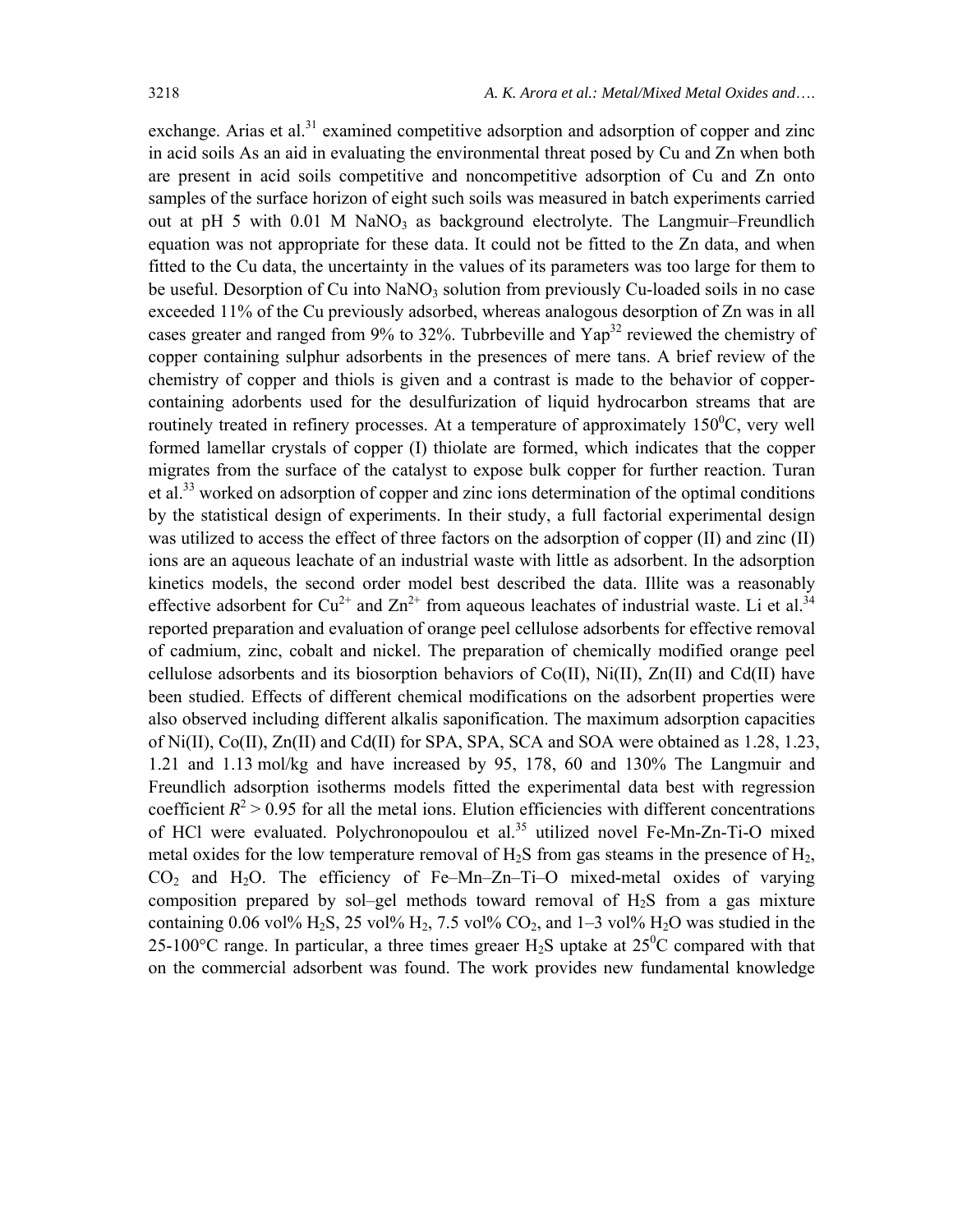exchange. Arias et al.<sup>31</sup> examined competitive adsorption and adsorption of copper and zinc in acid soils As an aid in evaluating the environmental threat posed by Cu and Zn when both are present in acid soils competitive and noncompetitive adsorption of Cu and Zn onto samples of the surface horizon of eight such soils was measured in batch experiments carried out at pH 5 with 0.01 M NaNO<sub>3</sub> as background electrolyte. The Langmuir–Freundlich equation was not appropriate for these data. It could not be fitted to the Zn data, and when fitted to the Cu data, the uncertainty in the values of its parameters was too large for them to be useful. Desorption of Cu into NaNO<sub>3</sub> solution from previously Cu-loaded soils in no case exceeded 11% of the Cu previously adsorbed, whereas analogous desorption of Zn was in all cases greater and ranged from  $9\%$  to 32%. Tubrbeville and  $\text{Yap}^{32}$  reviewed the chemistry of copper containing sulphur adsorbents in the presences of mere tans. A brief review of the chemistry of copper and thiols is given and a contrast is made to the behavior of coppercontaining adorbents used for the desulfurization of liquid hydrocarbon streams that are routinely treated in refinery processes. At a temperature of approximately  $150^{\circ}$ C, very well formed lamellar crystals of copper (I) thiolate are formed, which indicates that the copper migrates from the surface of the catalyst to expose bulk copper for further reaction. Turan et al.<sup>33</sup> worked on adsorption of copper and zinc ions determination of the optimal conditions by the statistical design of experiments. In their study, a full factorial experimental design was utilized to access the effect of three factors on the adsorption of copper (II) and zinc (II) ions are an aqueous leachate of an industrial waste with little as adsorbent. In the adsorption kinetics models, the second order model best described the data. Illite was a reasonably effective adsorbent for  $Cu^{2+}$  and  $Zn^{2+}$  from aqueous leachates of industrial waste. Li et al.<sup>34</sup> reported preparation and evaluation of orange peel cellulose adsorbents for effective removal of cadmium, zinc, cobalt and nickel. The preparation of chemically modified orange peel cellulose adsorbents and its biosorption behaviors of Co(II), Ni(II), Zn(II) and Cd(II) have been studied. Effects of different chemical modifications on the adsorbent properties were also observed including different alkalis saponification. The maximum adsorption capacities of Ni(II), Co(II), Zn(II) and Cd(II) for SPA, SPA, SCA and SOA were obtained as 1.28, 1.23, 1.21 and 1.13 mol/kg and have increased by 95, 178, 60 and 130% The Langmuir and Freundlich adsorption isotherms models fitted the experimental data best with regression coefficient  $R^2$  > 0.95 for all the metal ions. Elution efficiencies with different concentrations of HCl were evaluated. Polychronopoulou et al.<sup>35</sup> utilized novel Fe-Mn-Zn-Ti-O mixed metal oxides for the low temperature removal of  $H_2S$  from gas steams in the presence of  $H_2$ ,  $CO<sub>2</sub>$  and H<sub>2</sub>O. The efficiency of Fe–Mn–Zn–Ti–O mixed-metal oxides of varying composition prepared by sol–gel methods toward removal of H2S from a gas mixture containing 0.06 vol% H<sub>2</sub>S, 25 vol% H<sub>2</sub>, 7.5 vol% CO<sub>2</sub>, and 1–3 vol% H<sub>2</sub>O was studied in the 25-100 $^{\circ}$ C range. In particular, a three times greaer H<sub>2</sub>S uptake at 25 $^{\circ}$ C compared with that on the commercial adsorbent was found. The work provides new fundamental knowledge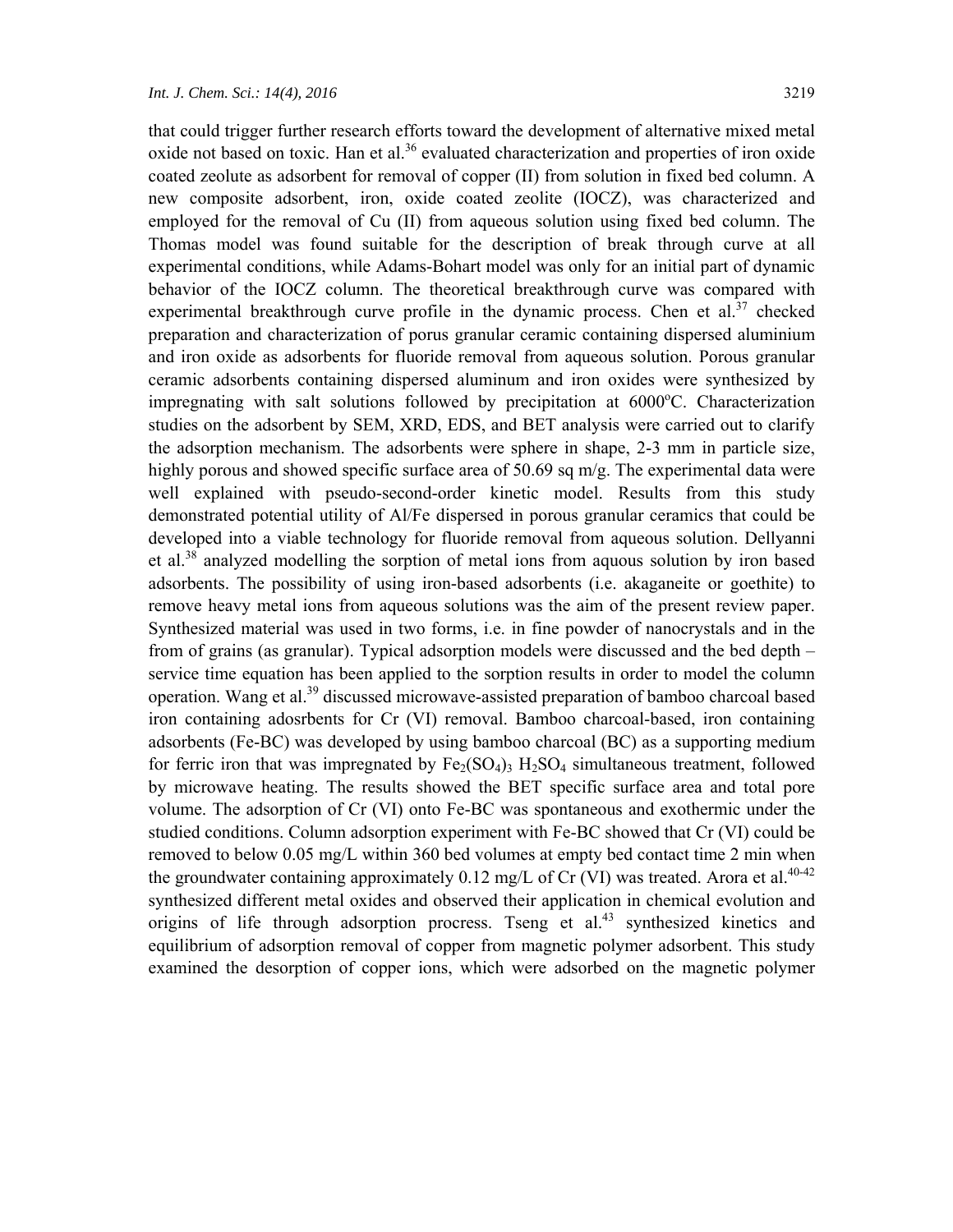that could trigger further research efforts toward the development of alternative mixed metal oxide not based on toxic. Han et al.<sup>36</sup> evaluated characterization and properties of iron oxide coated zeolute as adsorbent for removal of copper (II) from solution in fixed bed column. A new composite adsorbent, iron, oxide coated zeolite (IOCZ), was characterized and employed for the removal of Cu (II) from aqueous solution using fixed bed column. The Thomas model was found suitable for the description of break through curve at all experimental conditions, while Adams-Bohart model was only for an initial part of dynamic behavior of the IOCZ column. The theoretical breakthrough curve was compared with experimental breakthrough curve profile in the dynamic process. Chen et al.<sup>37</sup> checked preparation and characterization of porus granular ceramic containing dispersed aluminium and iron oxide as adsorbents for fluoride removal from aqueous solution. Porous granular ceramic adsorbents containing dispersed aluminum and iron oxides were synthesized by impregnating with salt solutions followed by precipitation at 6000°C. Characterization studies on the adsorbent by SEM, XRD, EDS, and BET analysis were carried out to clarify the adsorption mechanism. The adsorbents were sphere in shape, 2-3 mm in particle size, highly porous and showed specific surface area of 50.69 sq m/g. The experimental data were well explained with pseudo-second-order kinetic model. Results from this study demonstrated potential utility of Al/Fe dispersed in porous granular ceramics that could be developed into a viable technology for fluoride removal from aqueous solution. Dellyanni et al.<sup>38</sup> analyzed modelling the sorption of metal ions from aquous solution by iron based adsorbents. The possibility of using iron-based adsorbents (i.e. akaganeite or goethite) to remove heavy metal ions from aqueous solutions was the aim of the present review paper. Synthesized material was used in two forms, i.e. in fine powder of nanocrystals and in the from of grains (as granular). Typical adsorption models were discussed and the bed depth – service time equation has been applied to the sorption results in order to model the column operation. Wang et al.39 discussed microwave-assisted preparation of bamboo charcoal based iron containing adosrbents for Cr (VI) removal. Bamboo charcoal-based, iron containing adsorbents (Fe-BC) was developed by using bamboo charcoal (BC) as a supporting medium for ferric iron that was impregnated by  $Fe<sub>2</sub>(SO<sub>4</sub>)<sub>3</sub> H<sub>2</sub>SO<sub>4</sub>$  simultaneous treatment, followed by microwave heating. The results showed the BET specific surface area and total pore volume. The adsorption of Cr (VI) onto Fe-BC was spontaneous and exothermic under the studied conditions. Column adsorption experiment with Fe-BC showed that Cr (VI) could be removed to below 0.05 mg/L within 360 bed volumes at empty bed contact time 2 min when the groundwater containing approximately  $0.12 \text{ mg/L of Cr (VI)}$  was treated. Arora et al.<sup>40-42</sup> synthesized different metal oxides and observed their application in chemical evolution and origins of life through adsorption procress. Tseng et al.<sup>43</sup> synthesized kinetics and equilibrium of adsorption removal of copper from magnetic polymer adsorbent. This study examined the desorption of copper ions, which were adsorbed on the magnetic polymer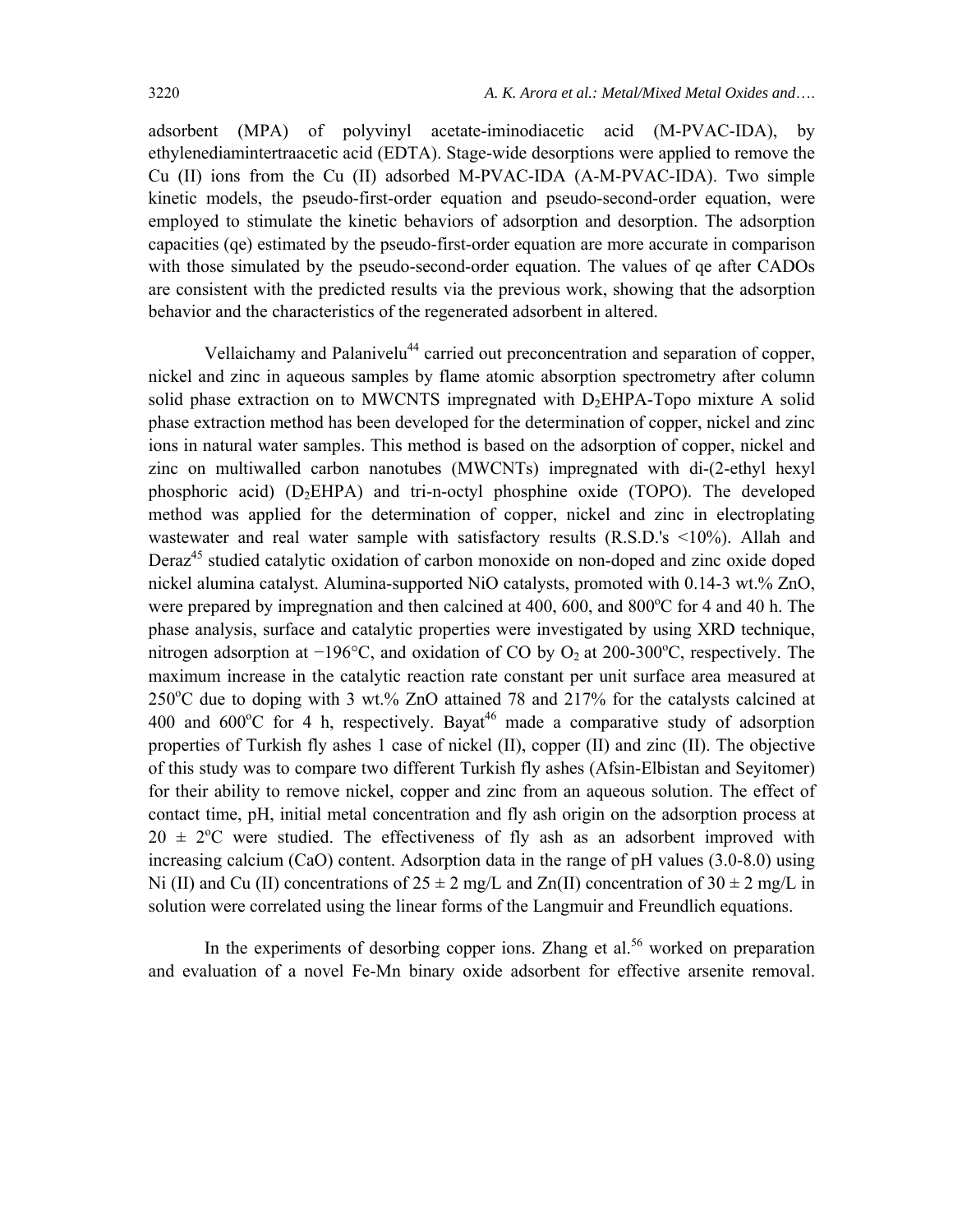adsorbent (MPA) of polyvinyl acetate-iminodiacetic acid (M-PVAC-IDA), by ethylenediamintertraacetic acid (EDTA). Stage-wide desorptions were applied to remove the Cu (II) ions from the Cu (II) adsorbed M-PVAC-IDA (A-M-PVAC-IDA). Two simple kinetic models, the pseudo-first-order equation and pseudo-second-order equation, were employed to stimulate the kinetic behaviors of adsorption and desorption. The adsorption capacities (qe) estimated by the pseudo-first-order equation are more accurate in comparison with those simulated by the pseudo-second-order equation. The values of qe after CADOs are consistent with the predicted results via the previous work, showing that the adsorption behavior and the characteristics of the regenerated adsorbent in altered.

Vellaichamy and Palanivelu<sup>44</sup> carried out preconcentration and separation of copper, nickel and zinc in aqueous samples by flame atomic absorption spectrometry after column solid phase extraction on to MWCNTS impregnated with  $D_2EHPA$ -Topo mixture A solid phase extraction method has been developed for the determination of copper, nickel and zinc ions in natural water samples. This method is based on the adsorption of copper, nickel and zinc on multiwalled carbon nanotubes (MWCNTs) impregnated with di-(2-ethyl hexyl phosphoric acid)  $(D_2EHPA)$  and tri-n-octyl phosphine oxide (TOPO). The developed method was applied for the determination of copper, nickel and zinc in electroplating wastewater and real water sample with satisfactory results  $(R.S.D.'s < 10\%)$ . Allah and Deraz<sup>45</sup> studied catalytic oxidation of carbon monoxide on non-doped and zinc oxide doped nickel alumina catalyst. Alumina-supported NiO catalysts, promoted with 0.14-3 wt.% ZnO, were prepared by impregnation and then calcined at 400, 600, and 800°C for 4 and 40 h. The phase analysis, surface and catalytic properties were investigated by using XRD technique, nitrogen adsorption at  $-196^{\circ}$ C, and oxidation of CO by O<sub>2</sub> at 200-300<sup>°</sup>C, respectively. The maximum increase in the catalytic reaction rate constant per unit surface area measured at  $250^{\circ}$ C due to doping with 3 wt.% ZnO attained 78 and 217% for the catalysts calcined at 400 and  $600^{\circ}$ C for 4 h, respectively. Bayat<sup>46</sup> made a comparative study of adsorption properties of Turkish fly ashes 1 case of nickel (II), copper (II) and zinc (II). The objective of this study was to compare two different Turkish fly ashes (Afsin-Elbistan and Seyitomer) for their ability to remove nickel, copper and zinc from an aqueous solution. The effect of contact time, pH, initial metal concentration and fly ash origin on the adsorption process at  $20 \pm 2^{\circ}\text{C}$  were studied. The effectiveness of fly ash as an adsorbent improved with increasing calcium (CaO) content. Adsorption data in the range of pH values (3.0-8.0) using Ni (II) and Cu (II) concentrations of  $25 \pm 2$  mg/L and Zn(II) concentration of  $30 \pm 2$  mg/L in solution were correlated using the linear forms of the Langmuir and Freundlich equations.

In the experiments of desorbing copper ions. Zhang et al.<sup>56</sup> worked on preparation and evaluation of a novel Fe-Mn binary oxide adsorbent for effective arsenite removal.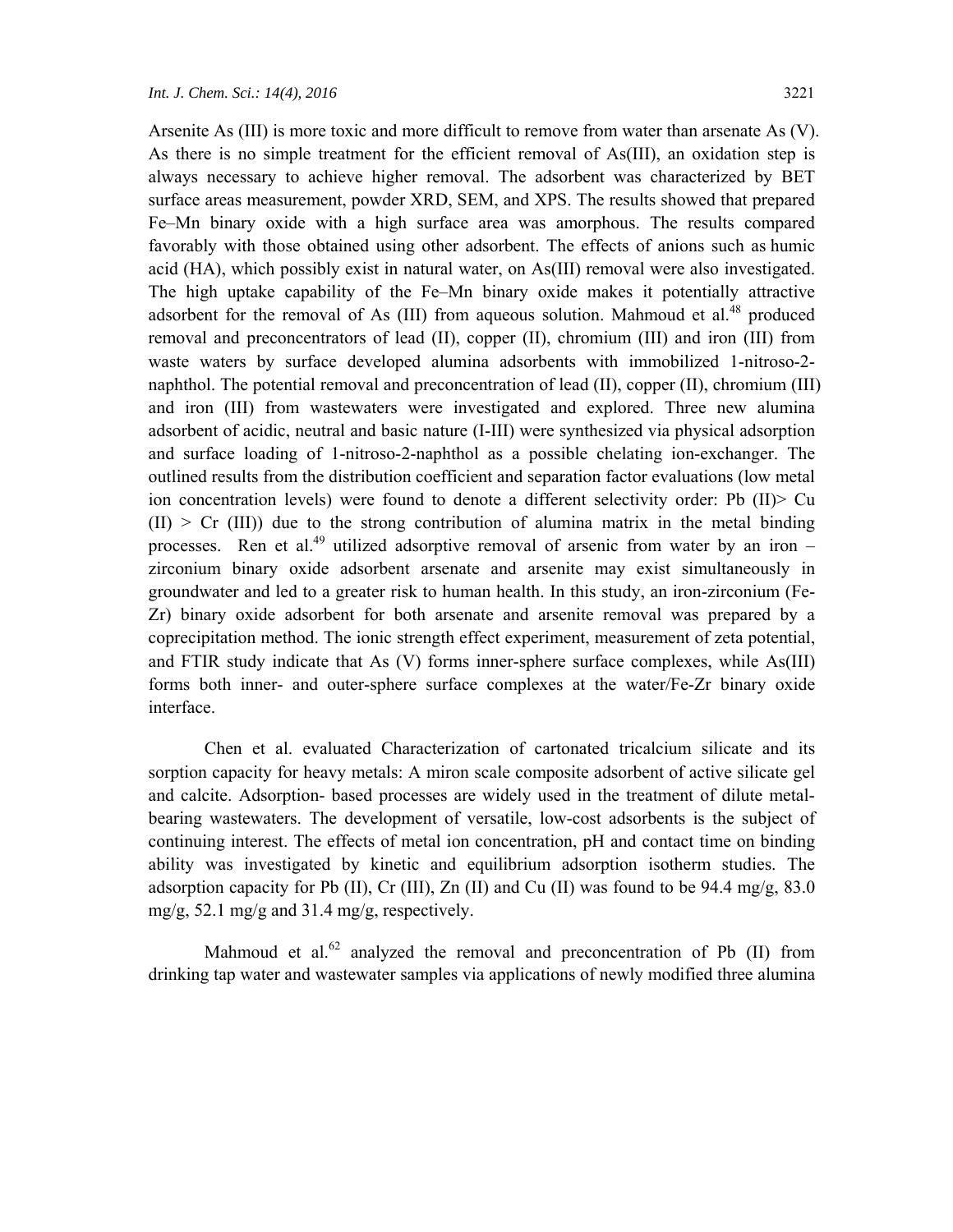Arsenite As (III) is more toxic and more difficult to remove from water than arsenate As (V). As there is no simple treatment for the efficient removal of As(III), an oxidation step is always necessary to achieve higher removal. The adsorbent was characterized by BET surface areas measurement, powder XRD, SEM, and XPS. The results showed that prepared Fe–Mn binary oxide with a high surface area was amorphous. The results compared favorably with those obtained using other adsorbent. The effects of anions such as humic acid (HA), which possibly exist in natural water, on As(III) removal were also investigated. The high uptake capability of the Fe–Mn binary oxide makes it potentially attractive adsorbent for the removal of As (III) from aqueous solution. Mahmoud et al.<sup>48</sup> produced removal and preconcentrators of lead (II), copper (II), chromium (III) and iron (III) from waste waters by surface developed alumina adsorbents with immobilized 1-nitroso-2 naphthol. The potential removal and preconcentration of lead (II), copper (II), chromium (III) and iron (III) from wastewaters were investigated and explored. Three new alumina adsorbent of acidic, neutral and basic nature (I-III) were synthesized via physical adsorption and surface loading of 1-nitroso-2-naphthol as a possible chelating ion-exchanger. The outlined results from the distribution coefficient and separation factor evaluations (low metal ion concentration levels) were found to denote a different selectivity order: Pb (II)> Cu  $(II)$  > Cr  $(III)$ ) due to the strong contribution of alumina matrix in the metal binding processes. Ren et al.<sup>49</sup> utilized adsorptive removal of arsenic from water by an iron – zirconium binary oxide adsorbent arsenate and arsenite may exist simultaneously in groundwater and led to a greater risk to human health. In this study, an iron-zirconium (Fe-Zr) binary oxide adsorbent for both arsenate and arsenite removal was prepared by a coprecipitation method. The ionic strength effect experiment, measurement of zeta potential, and FTIR study indicate that As (V) forms inner-sphere surface complexes, while As(III) forms both inner- and outer-sphere surface complexes at the water/Fe-Zr binary oxide interface.

Chen et al. evaluated Characterization of cartonated tricalcium silicate and its sorption capacity for heavy metals: A miron scale composite adsorbent of active silicate gel and calcite. Adsorption- based processes are widely used in the treatment of dilute metalbearing wastewaters. The development of versatile, low-cost adsorbents is the subject of continuing interest. The effects of metal ion concentration, pH and contact time on binding ability was investigated by kinetic and equilibrium adsorption isotherm studies. The adsorption capacity for Pb (II), Cr (III), Zn (II) and Cu (II) was found to be 94.4 mg/g, 83.0 mg/g, 52.1 mg/g and 31.4 mg/g, respectively.

Mahmoud et al.<sup>62</sup> analyzed the removal and preconcentration of Pb  $(II)$  from drinking tap water and wastewater samples via applications of newly modified three alumina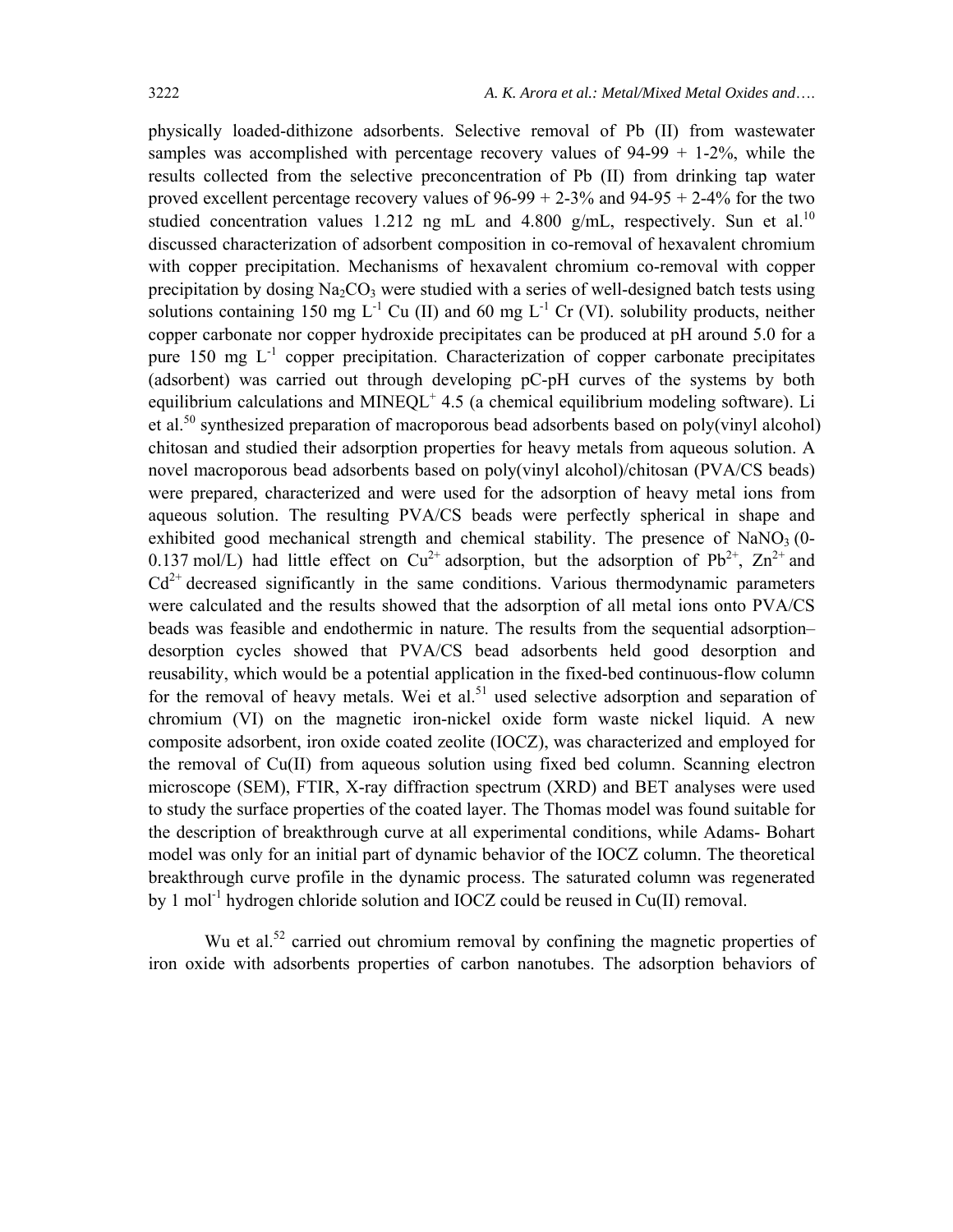physically loaded-dithizone adsorbents. Selective removal of Pb (II) from wastewater samples was accomplished with percentage recovery values of  $94-99 + 1-2\%$ , while the results collected from the selective preconcentration of Pb (II) from drinking tap water proved excellent percentage recovery values of  $96-99 + 2-3\%$  and  $94-95 + 2-4\%$  for the two studied concentration values 1.212 ng mL and 4.800 g/mL, respectively. Sun et al.<sup>10</sup> discussed characterization of adsorbent composition in co-removal of hexavalent chromium with copper precipitation. Mechanisms of hexavalent chromium co-removal with copper precipitation by dosing  $Na<sub>2</sub>CO<sub>3</sub>$  were studied with a series of well-designed batch tests using solutions containing 150 mg  $L^{-1}$  Cu (II) and 60 mg  $L^{-1}$  Cr (VI). solubility products, neither copper carbonate nor copper hydroxide precipitates can be produced at pH around 5.0 for a pure  $150$  mg  $L^{-1}$  copper precipitation. Characterization of copper carbonate precipitates (adsorbent) was carried out through developing pC-pH curves of the systems by both equilibrium calculations and MINEQL<sup>+</sup> 4.5 (a chemical equilibrium modeling software). Li et al.<sup>50</sup> synthesized preparation of macroporous bead adsorbents based on poly(vinyl alcohol) chitosan and studied their adsorption properties for heavy metals from aqueous solution. A novel macroporous bead adsorbents based on poly(vinyl alcohol)/chitosan (PVA/CS beads) were prepared, characterized and were used for the adsorption of heavy metal ions from aqueous solution. The resulting PVA/CS beads were perfectly spherical in shape and exhibited good mechanical strength and chemical stability. The presence of  $NaNO<sub>3</sub>(0-$ 0.137 mol/L) had little effect on  $Cu^{2+}$  adsorption, but the adsorption of Pb<sup>2+</sup>, Zn<sup>2+</sup> and  $Cd<sup>2+</sup> decreased significantly in the same conditions. Various thermodynamic parameters$ were calculated and the results showed that the adsorption of all metal ions onto PVA/CS beads was feasible and endothermic in nature. The results from the sequential adsorption– desorption cycles showed that PVA/CS bead adsorbents held good desorption and reusability, which would be a potential application in the fixed-bed continuous-flow column for the removal of heavy metals. Wei et al.<sup>51</sup> used selective adsorption and separation of chromium (VI) on the magnetic iron-nickel oxide form waste nickel liquid. A new composite adsorbent, iron oxide coated zeolite (IOCZ), was characterized and employed for the removal of Cu(II) from aqueous solution using fixed bed column. Scanning electron microscope (SEM), FTIR, X-ray diffraction spectrum (XRD) and BET analyses were used to study the surface properties of the coated layer. The Thomas model was found suitable for the description of breakthrough curve at all experimental conditions, while Adams- Bohart model was only for an initial part of dynamic behavior of the IOCZ column. The theoretical breakthrough curve profile in the dynamic process. The saturated column was regenerated by 1 mol<sup>-1</sup> hydrogen chloride solution and IOCZ could be reused in Cu(II) removal.

Wu et al.<sup>52</sup> carried out chromium removal by confining the magnetic properties of iron oxide with adsorbents properties of carbon nanotubes. The adsorption behaviors of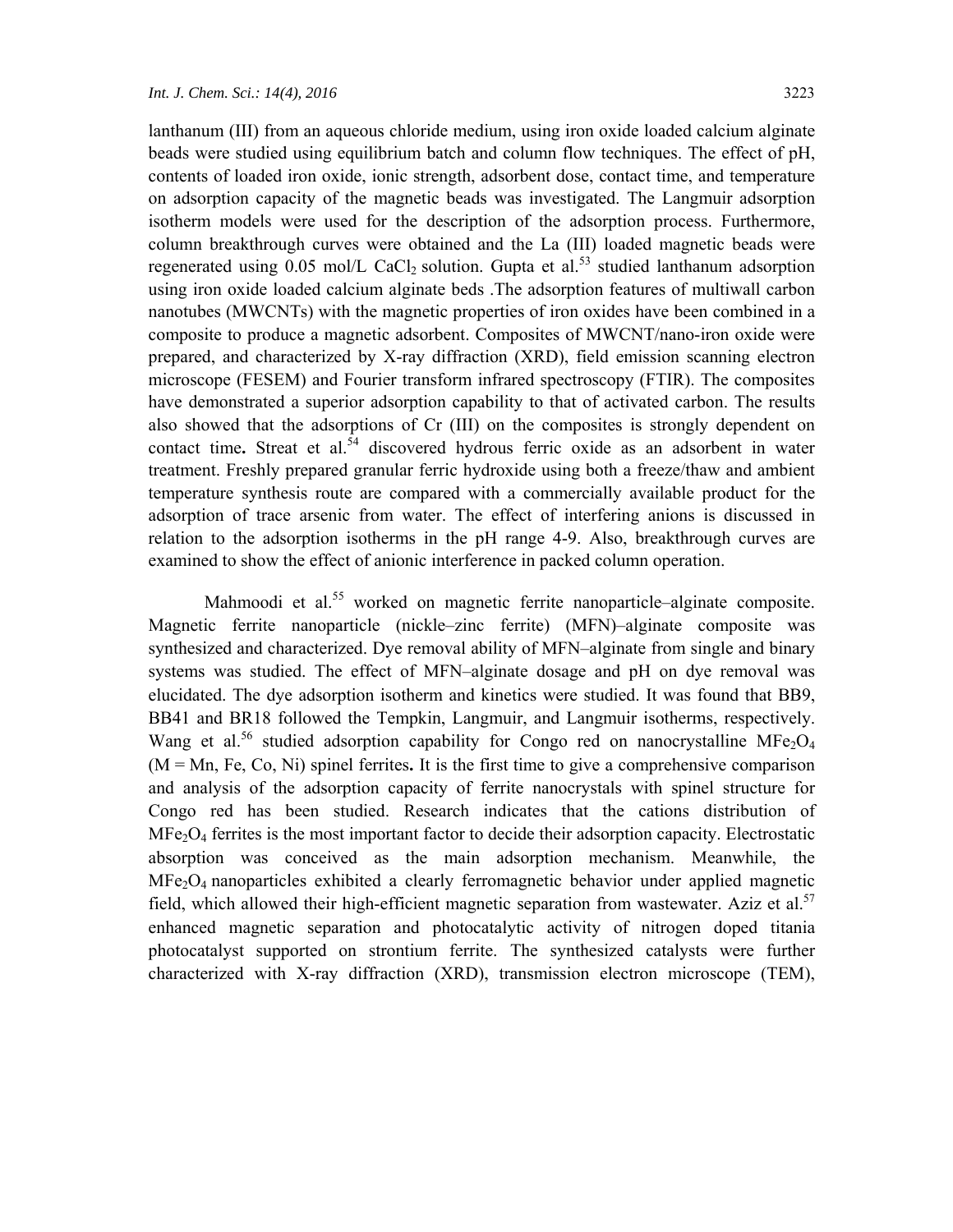lanthanum (III) from an aqueous chloride medium, using iron oxide loaded calcium alginate beads were studied using equilibrium batch and column flow techniques. The effect of pH, contents of loaded iron oxide, ionic strength, adsorbent dose, contact time, and temperature on adsorption capacity of the magnetic beads was investigated. The Langmuir adsorption isotherm models were used for the description of the adsorption process. Furthermore, column breakthrough curves were obtained and the La (III) loaded magnetic beads were regenerated using  $0.05$  mol/L CaCl<sub>2</sub> solution. Gupta et al.<sup>53</sup> studied lanthanum adsorption using iron oxide loaded calcium alginate beds .The adsorption features of multiwall carbon nanotubes (MWCNTs) with the magnetic properties of iron oxides have been combined in a composite to produce a magnetic adsorbent. Composites of MWCNT/nano-iron oxide were prepared, and characterized by X-ray diffraction (XRD), field emission scanning electron microscope (FESEM) and Fourier transform infrared spectroscopy (FTIR). The composites have demonstrated a superior adsorption capability to that of activated carbon. The results also showed that the adsorptions of Cr (III) on the composites is strongly dependent on contact time. Streat et al.<sup>54</sup> discovered hydrous ferric oxide as an adsorbent in water treatment. Freshly prepared granular ferric hydroxide using both a freeze/thaw and ambient temperature synthesis route are compared with a commercially available product for the adsorption of trace arsenic from water. The effect of interfering anions is discussed in relation to the adsorption isotherms in the pH range 4-9. Also, breakthrough curves are examined to show the effect of anionic interference in packed column operation.

Mahmoodi et al.<sup>55</sup> worked on magnetic ferrite nanoparticle–alginate composite. Magnetic ferrite nanoparticle (nickle–zinc ferrite) (MFN)–alginate composite was synthesized and characterized. Dye removal ability of MFN–alginate from single and binary systems was studied. The effect of MFN–alginate dosage and pH on dye removal was elucidated. The dye adsorption isotherm and kinetics were studied. It was found that BB9, BB41 and BR18 followed the Tempkin, Langmuir, and Langmuir isotherms, respectively. Wang et al.<sup>56</sup> studied adsorption capability for Congo red on nanocrystalline MFe<sub>2</sub>O<sub>4</sub> (M = Mn, Fe, Co, Ni) spinel ferrites**.** It is the first time to give a comprehensive comparison and analysis of the adsorption capacity of ferrite nanocrystals with spinel structure for Congo red has been studied. Research indicates that the cations distribution of  $MFe<sub>2</sub>O<sub>4</sub>$  ferrites is the most important factor to decide their adsorption capacity. Electrostatic absorption was conceived as the main adsorption mechanism. Meanwhile, the  $MFe<sub>2</sub>O<sub>4</sub>$  nanoparticles exhibited a clearly ferromagnetic behavior under applied magnetic field, which allowed their high-efficient magnetic separation from wastewater. Aziz et al.<sup>57</sup> enhanced magnetic separation and photocatalytic activity of nitrogen doped titania photocatalyst supported on strontium ferrite. The synthesized catalysts were further characterized with X-ray diffraction (XRD), transmission electron microscope (TEM),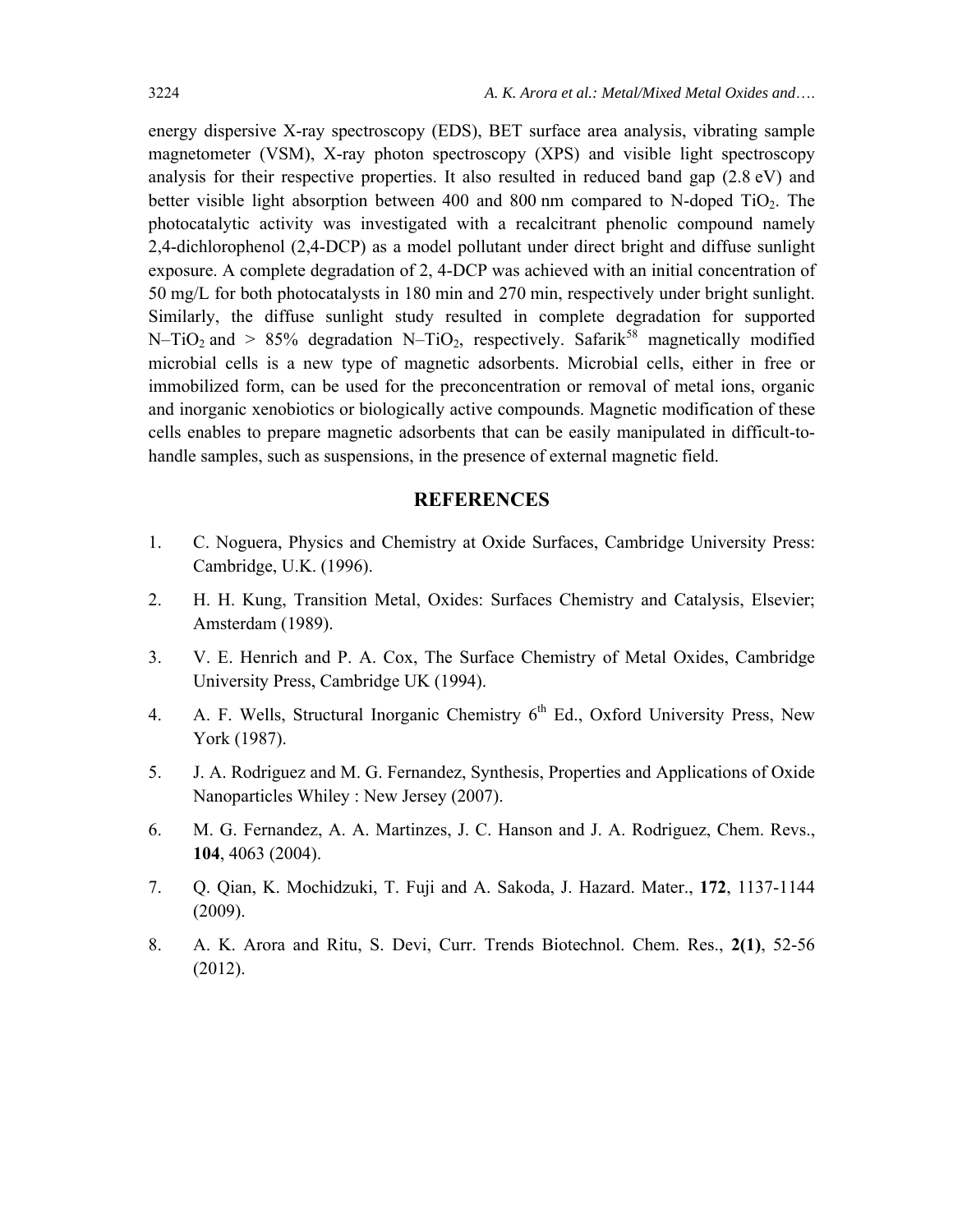energy dispersive X-ray spectroscopy (EDS), BET surface area analysis, vibrating sample magnetometer (VSM), X-ray photon spectroscopy (XPS) and visible light spectroscopy analysis for their respective properties. It also resulted in reduced band gap (2.8 eV) and better visible light absorption between 400 and 800 nm compared to N-doped TiO<sub>2</sub>. The photocatalytic activity was investigated with a recalcitrant phenolic compound namely 2,4-dichlorophenol (2,4-DCP) as a model pollutant under direct bright and diffuse sunlight exposure. A complete degradation of 2, 4-DCP was achieved with an initial concentration of 50 mg/L for both photocatalysts in 180 min and 270 min, respectively under bright sunlight. Similarly, the diffuse sunlight study resulted in complete degradation for supported N–TiO<sub>2</sub> and > 85% degradation N–TiO<sub>2</sub>, respectively. Safarik<sup>58</sup> magnetically modified microbial cells is a new type of magnetic adsorbents. Microbial cells, either in free or immobilized form, can be used for the preconcentration or removal of metal ions, organic and inorganic xenobiotics or biologically active compounds. Magnetic modification of these cells enables to prepare magnetic adsorbents that can be easily manipulated in difficult-tohandle samples, such as suspensions, in the presence of external magnetic field.

### **REFERENCES**

- 1. C. Noguera, Physics and Chemistry at Oxide Surfaces, Cambridge University Press: Cambridge, U.K. (1996).
- 2. H. H. Kung, Transition Metal, Oxides: Surfaces Chemistry and Catalysis, Elsevier; Amsterdam (1989).
- 3. V. E. Henrich and P. A. Cox, The Surface Chemistry of Metal Oxides, Cambridge University Press, Cambridge UK (1994).
- 4. A. F. Wells, Structural Inorganic Chemistry 6<sup>th</sup> Ed., Oxford University Press, New York (1987).
- 5. J. A. Rodriguez and M. G. Fernandez, Synthesis, Properties and Applications of Oxide Nanoparticles Whiley : New Jersey (2007).
- 6. M. G. Fernandez, A. A. Martinzes, J. C. Hanson and J. A. Rodriguez, Chem. Revs., **104**, 4063 (2004).
- 7. Q. Qian, K. Mochidzuki, T. Fuji and A. Sakoda, J. Hazard. Mater., **172**, 1137-1144 (2009).
- 8. A. K. Arora and Ritu, S. Devi, Curr. Trends Biotechnol. Chem. Res., **2(1)**, 52-56 (2012).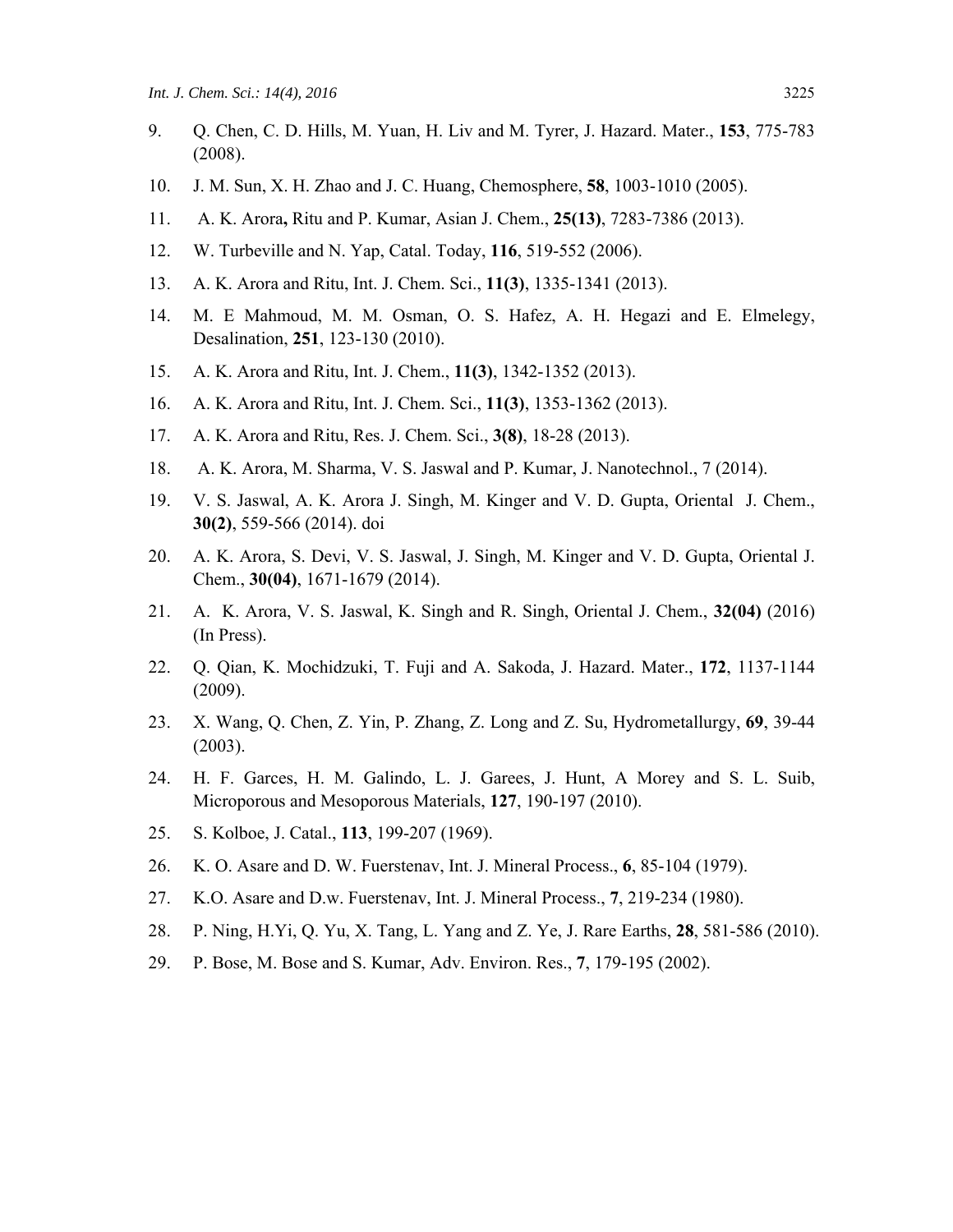- 9. Q. Chen, C. D. Hills, M. Yuan, H. Liv and M. Tyrer, J. Hazard. Mater., **153**, 775-783 (2008).
- 10. J. M. Sun, X. H. Zhao and J. C. Huang, Chemosphere, **58**, 1003-1010 (2005).
- 11. A. K. Arora**,** Ritu and P. Kumar, Asian J. Chem., **25(13)**, 7283-7386 (2013).
- 12. W. Turbeville and N. Yap, Catal. Today, **116**, 519-552 (2006).
- 13. A. K. Arora and Ritu, Int. J. Chem. Sci., **11(3)**, 1335-1341 (2013).
- 14. M. E Mahmoud, M. M. Osman, O. S. Hafez, A. H. Hegazi and E. Elmelegy, Desalination, **251**, 123-130 (2010).
- 15. A. K. Arora and Ritu, Int. J. Chem., **11(3)**, 1342-1352 (2013).
- 16. A. K. Arora and Ritu, Int. J. Chem. Sci., **11(3)**, 1353-1362 (2013).
- 17. A. K. Arora and Ritu, Res. J. Chem. Sci., **3(8)**, 18-28 (2013).
- 18. A. K. Arora, M. Sharma, V. S. Jaswal and P. Kumar, J. Nanotechnol., 7 (2014).
- 19. V. S. Jaswal, A. K. Arora J. Singh, M. Kinger and V. D. Gupta, Oriental J. Chem., **30(2)**, 559-566 (2014). doi
- 20. A. K. Arora, S. Devi, V. S. Jaswal, J. Singh, M. Kinger and V. D. Gupta, Oriental J. Chem., **30(04)**, 1671-1679 (2014).
- 21. A. K. Arora, V. S. Jaswal, K. Singh and R. Singh, Oriental J. Chem., **32(04)** (2016) (In Press).
- 22. Q. Qian, K. Mochidzuki, T. Fuji and A. Sakoda, J. Hazard. Mater., **172**, 1137-1144 (2009).
- 23. X. Wang, Q. Chen, Z. Yin, P. Zhang, Z. Long and Z. Su, Hydrometallurgy, **69**, 39-44 (2003).
- 24. H. F. Garces, H. M. Galindo, L. J. Garees, J. Hunt, A Morey and S. L. Suib, Microporous and Mesoporous Materials, **127**, 190-197 (2010).
- 25. S. Kolboe, J. Catal., **113**, 199-207 (1969).
- 26. K. O. Asare and D. W. Fuerstenav, Int. J. Mineral Process., **6**, 85-104 (1979).
- 27. K.O. Asare and D.w. Fuerstenav, Int. J. Mineral Process., **7**, 219-234 (1980).
- 28. P. Ning, H.Yi, Q. Yu, X. Tang, L. Yang and Z. Ye, J. Rare Earths, **28**, 581-586 (2010).
- 29. P. Bose, M. Bose and S. Kumar, Adv. Environ. Res., **7**, 179-195 (2002).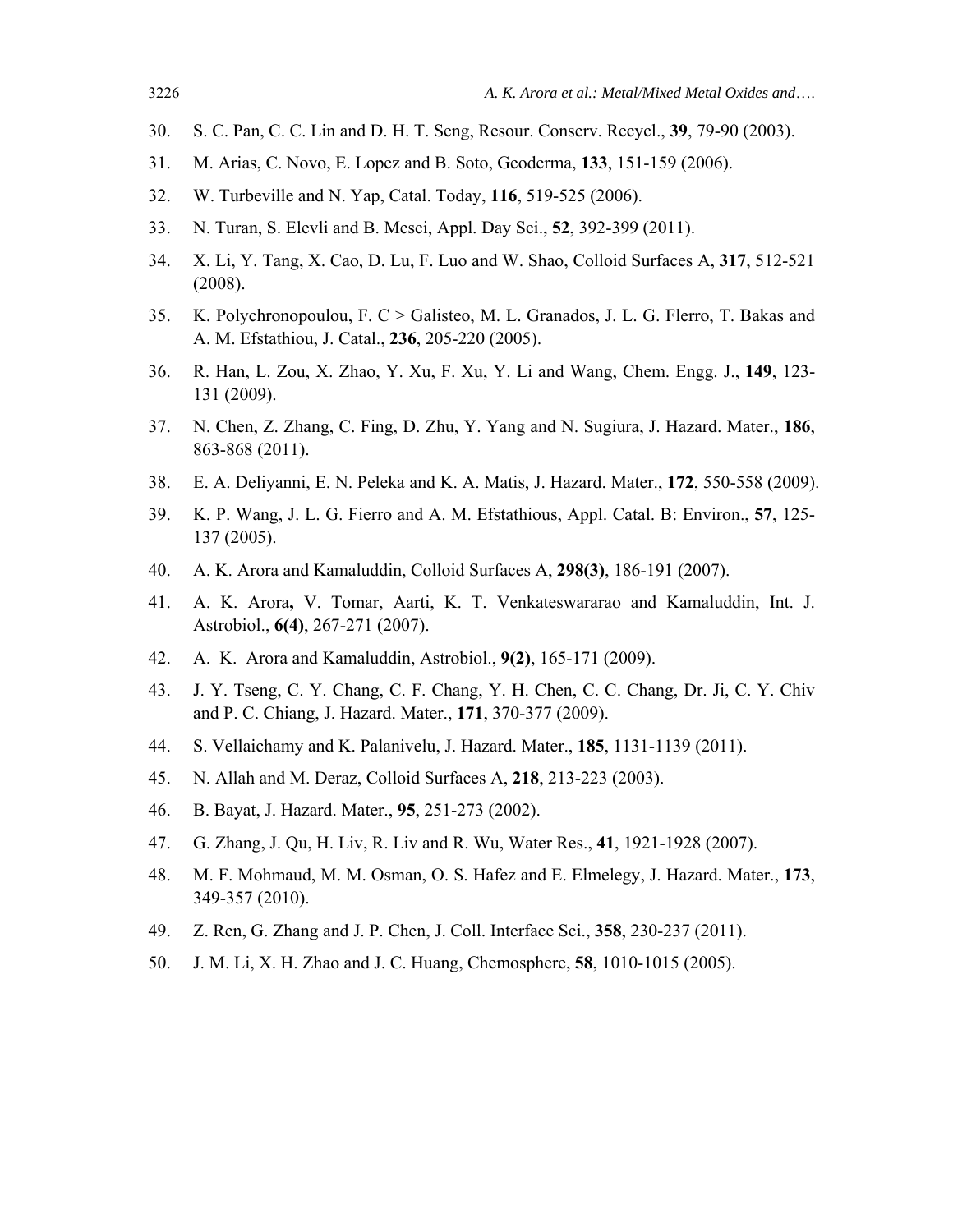- 30. S. C. Pan, C. C. Lin and D. H. T. Seng, Resour. Conserv. Recycl., **39**, 79-90 (2003).
- 31. M. Arias, C. Novo, E. Lopez and B. Soto, Geoderma, **133**, 151-159 (2006).
- 32. W. Turbeville and N. Yap, Catal. Today, **116**, 519-525 (2006).
- 33. N. Turan, S. Elevli and B. Mesci, Appl. Day Sci., **52**, 392-399 (2011).
- 34. X. Li, Y. Tang, X. Cao, D. Lu, F. Luo and W. Shao, Colloid Surfaces A, **317**, 512-521 (2008).
- 35. K. Polychronopoulou, F. C > Galisteo, M. L. Granados, J. L. G. Flerro, T. Bakas and A. M. Efstathiou, J. Catal., **236**, 205-220 (2005).
- 36. R. Han, L. Zou, X. Zhao, Y. Xu, F. Xu, Y. Li and Wang, Chem. Engg. J., **149**, 123- 131 (2009).
- 37. N. Chen, Z. Zhang, C. Fing, D. Zhu, Y. Yang and N. Sugiura, J. Hazard. Mater., **186**, 863-868 (2011).
- 38. E. A. Deliyanni, E. N. Peleka and K. A. Matis, J. Hazard. Mater., **172**, 550-558 (2009).
- 39. K. P. Wang, J. L. G. Fierro and A. M. Efstathious, Appl. Catal. B: Environ., **57**, 125- 137 (2005).
- 40. A. K. Arora and Kamaluddin, Colloid Surfaces A, **298(3)**, 186-191 (2007).
- 41. A. K. Arora**,** V. Tomar, Aarti, K. T. Venkateswararao and Kamaluddin, Int. J. Astrobiol., **6(4)**, 267-271 (2007).
- 42. A. K. Arora and Kamaluddin, Astrobiol., **9(2)**, 165-171 (2009).
- 43. J. Y. Tseng, C. Y. Chang, C. F. Chang, Y. H. Chen, C. C. Chang, Dr. Ji, C. Y. Chiv and P. C. Chiang, J. Hazard. Mater., **171**, 370-377 (2009).
- 44. S. Vellaichamy and K. Palanivelu, J. Hazard. Mater., **185**, 1131-1139 (2011).
- 45. N. Allah and M. Deraz, Colloid Surfaces A, **218**, 213-223 (2003).
- 46. B. Bayat, J. Hazard. Mater., **95**, 251-273 (2002).
- 47. G. Zhang, J. Qu, H. Liv, R. Liv and R. Wu, Water Res., **41**, 1921-1928 (2007).
- 48. M. F. Mohmaud, M. M. Osman, O. S. Hafez and E. Elmelegy, J. Hazard. Mater., **173**, 349-357 (2010).
- 49. Z. Ren, G. Zhang and J. P. Chen, J. Coll. Interface Sci., **358**, 230-237 (2011).
- 50. J. M. Li, X. H. Zhao and J. C. Huang, Chemosphere, **58**, 1010-1015 (2005).